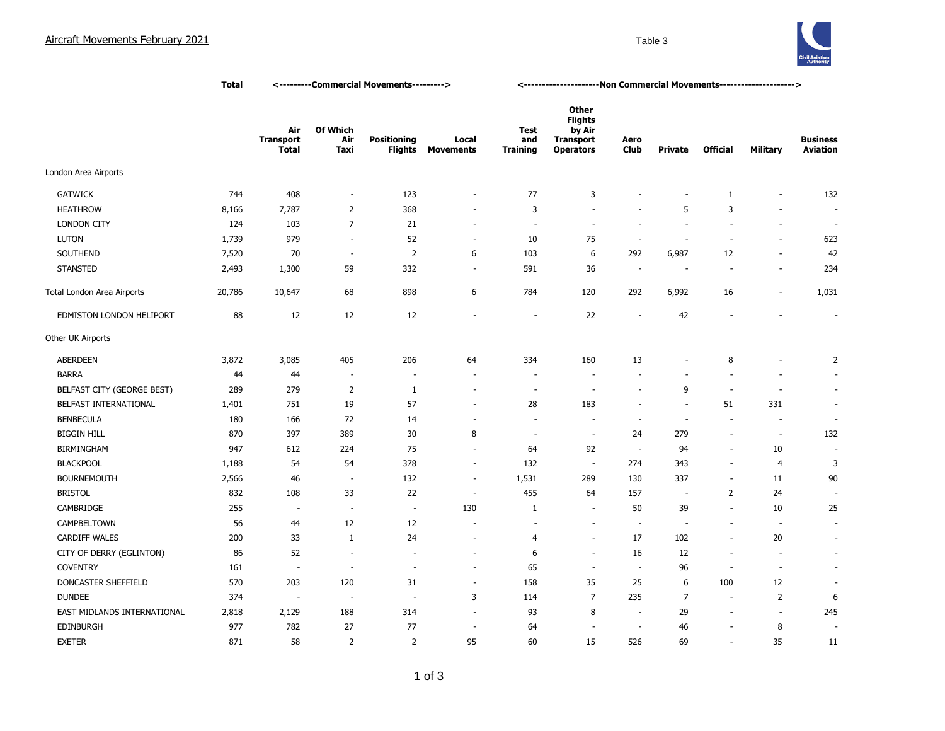

|                             | <b>Total</b> | <---------Commercial Movements---------> |                                |                                      |                           | <-----------------------Non Commercial Movements---------------------> |                                                                                  |                          |                          |                          |                          |                                    |
|-----------------------------|--------------|------------------------------------------|--------------------------------|--------------------------------------|---------------------------|------------------------------------------------------------------------|----------------------------------------------------------------------------------|--------------------------|--------------------------|--------------------------|--------------------------|------------------------------------|
|                             |              | Air<br><b>Transport</b><br><b>Total</b>  | <b>Of Which</b><br>Air<br>Taxi | <b>Positioning</b><br><b>Flights</b> | Local<br><b>Movements</b> | <b>Test</b><br>and<br><b>Training</b>                                  | <b>Other</b><br><b>Flights</b><br>by Air<br><b>Transport</b><br><b>Operators</b> | Aero<br><b>Club</b>      | <b>Private</b>           | <b>Official</b>          | Military                 | <b>Business</b><br><b>Aviation</b> |
| London Area Airports        |              |                                          |                                |                                      |                           |                                                                        |                                                                                  |                          |                          |                          |                          |                                    |
| <b>GATWICK</b>              | 744          | 408                                      | $\overline{\phantom{a}}$       | 123                                  | ÷                         | 77                                                                     | 3                                                                                | ÷                        |                          | 1                        |                          | 132                                |
| <b>HEATHROW</b>             | 8,166        | 7,787                                    | $\overline{2}$                 | 368                                  | ٠                         | 3                                                                      | $\sim$                                                                           | ٠                        | 5                        | 3                        |                          | $\sim$                             |
| <b>LONDON CITY</b>          | 124          | 103                                      | $\overline{7}$                 | 21                                   | $\overline{\phantom{a}}$  | $\overline{\phantom{a}}$                                               | $\sim$                                                                           | $\overline{a}$           | $\sim$                   | $\overline{\phantom{a}}$ | $\overline{\phantom{a}}$ | $\sim$                             |
| LUTON                       | 1,739        | 979                                      | $\overline{\phantom{a}}$       | 52                                   | $\overline{\phantom{a}}$  | 10                                                                     | 75                                                                               | $\overline{\phantom{a}}$ | $\overline{\phantom{a}}$ | $\overline{\phantom{a}}$ | $\overline{\phantom{a}}$ | 623                                |
| SOUTHEND                    | 7,520        | 70                                       | $\overline{\phantom{a}}$       | $\overline{2}$                       | 6                         | 103                                                                    | 6                                                                                | 292                      | 6,987                    | 12                       | $\overline{\phantom{a}}$ | 42                                 |
| <b>STANSTED</b>             | 2,493        | 1,300                                    | 59                             | 332                                  | $\overline{\phantom{a}}$  | 591                                                                    | 36                                                                               | $\overline{\phantom{a}}$ | ÷                        | $\sim$                   | $\sim$                   | 234                                |
| Total London Area Airports  | 20,786       | 10,647                                   | 68                             | 898                                  | 6                         | 784                                                                    | 120                                                                              | 292                      | 6,992                    | 16                       | $\overline{\phantom{a}}$ | 1,031                              |
| EDMISTON LONDON HELIPORT    | 88           | 12                                       | 12                             | 12                                   | J.                        | ÷,                                                                     | 22                                                                               | ٠.                       | 42                       | $\overline{\phantom{a}}$ |                          | $\overline{\phantom{a}}$           |
| Other UK Airports           |              |                                          |                                |                                      |                           |                                                                        |                                                                                  |                          |                          |                          |                          |                                    |
| <b>ABERDEEN</b>             | 3,872        | 3,085                                    | 405                            | 206                                  | 64                        | 334                                                                    | 160                                                                              | 13                       | $\overline{\phantom{a}}$ | 8                        |                          | $\overline{2}$                     |
| <b>BARRA</b>                | 44           | 44                                       | $\sim$                         | $\overline{\phantom{a}}$             |                           | $\overline{\phantom{a}}$                                               |                                                                                  |                          | $\overline{\phantom{a}}$ |                          |                          | $\sim$                             |
| BELFAST CITY (GEORGE BEST)  | 289          | 279                                      | 2                              | 1                                    | $\overline{\phantom{a}}$  | $\overline{\phantom{a}}$                                               | $\sim$                                                                           | ÷,                       | 9                        | $\sim$                   | $\overline{\phantom{a}}$ | ×.                                 |
| BELFAST INTERNATIONAL       | 1,401        | 751                                      | 19                             | 57                                   | $\overline{\phantom{a}}$  | 28                                                                     | 183                                                                              | ٠                        | $\sim$                   | 51                       | 331                      | ÷.                                 |
| <b>BENBECULA</b>            | 180          | 166                                      | 72                             | 14                                   | $\sim$                    | ÷                                                                      | $\overline{a}$                                                                   | $\sim$                   | $\sim$                   | $\sim$                   | $\overline{\phantom{a}}$ | $\sim$                             |
| <b>BIGGIN HILL</b>          | 870          | 397                                      | 389                            | 30                                   | 8                         | ٠.                                                                     | $\sim$                                                                           | 24                       | 279                      | $\sim$                   | $\overline{\phantom{a}}$ | 132                                |
| <b>BIRMINGHAM</b>           | 947          | 612                                      | 224                            | 75                                   | $\overline{\phantom{a}}$  | 64                                                                     | 92                                                                               | $\overline{\phantom{a}}$ | 94                       | $\blacksquare$           | 10                       |                                    |
| <b>BLACKPOOL</b>            | 1,188        | 54                                       | 54                             | 378                                  | $\overline{\phantom{a}}$  | 132                                                                    | $\overline{\phantom{a}}$                                                         | 274                      | 343                      | $\blacksquare$           | $\overline{4}$           | 3                                  |
| <b>BOURNEMOUTH</b>          | 2,566        | 46                                       | $\overline{\phantom{a}}$       | 132                                  | $\overline{\phantom{a}}$  | 1,531                                                                  | 289                                                                              | 130                      | 337                      | $\sim$                   | 11                       | 90                                 |
| <b>BRISTOL</b>              | 832          | 108                                      | 33                             | 22                                   | ÷,                        | 455                                                                    | 64                                                                               | 157                      | $\overline{a}$           | $\overline{2}$           | 24                       |                                    |
| CAMBRIDGE                   | 255          | $\overline{\phantom{a}}$                 | $\overline{\phantom{a}}$       | $\overline{\phantom{a}}$             | 130                       | 1                                                                      | ÷.                                                                               | 50                       | 39                       | $\overline{\phantom{a}}$ | 10                       | 25                                 |
| CAMPBELTOWN                 | 56           | 44                                       | 12                             | 12                                   |                           |                                                                        |                                                                                  | ٠.                       | $\overline{\phantom{a}}$ | $\overline{\phantom{a}}$ | $\overline{\phantom{a}}$ | ä,                                 |
| CARDIFF WALES               | 200          | 33                                       | 1                              | 24                                   | $\overline{\phantom{a}}$  | $\overline{4}$                                                         | $\sim$                                                                           | 17                       | 102                      | $\overline{\phantom{a}}$ | 20                       | ÷.                                 |
| CITY OF DERRY (EGLINTON)    | 86           | 52                                       | $\sim$                         | $\overline{a}$                       | $\sim$                    | 6                                                                      | $\sim$                                                                           | 16                       | 12                       | $\sim$                   | $\overline{a}$           | $\sim$                             |
| <b>COVENTRY</b>             | 161          | ÷.                                       | $\sim$                         | $\sim$                               | ÷                         | 65                                                                     | ÷.                                                                               | $\sim$                   | 96                       | $\overline{\phantom{a}}$ | ÷.                       | ÷.                                 |
| DONCASTER SHEFFIELD         | 570          | 203                                      | 120                            | 31                                   | $\overline{\phantom{a}}$  | 158                                                                    | 35                                                                               | 25                       | 6                        | 100                      | 12                       | $\overline{\phantom{a}}$           |
| <b>DUNDEE</b>               | 374          | $\sim$                                   | $\overline{\phantom{a}}$       | $\overline{\phantom{a}}$             | 3                         | 114                                                                    | $\overline{7}$                                                                   | 235                      | $\overline{7}$           | $\sim$                   | $\overline{2}$           | 6                                  |
| EAST MIDLANDS INTERNATIONAL | 2,818        | 2,129                                    | 188                            | 314                                  | $\sim$                    | 93                                                                     | 8                                                                                | $\overline{\phantom{a}}$ | 29                       | $\overline{\phantom{a}}$ | $\overline{\phantom{a}}$ | 245                                |
| EDINBURGH                   | 977          | 782                                      | 27                             | 77                                   | $\overline{\phantom{a}}$  | 64                                                                     |                                                                                  | $\overline{\phantom{a}}$ | 46                       | $\overline{a}$           | 8                        | $\overline{\phantom{a}}$           |
| <b>EXETER</b>               | 871          | 58                                       | $\overline{2}$                 | $\overline{2}$                       | 95                        | 60                                                                     | 15                                                                               | 526                      | 69                       | $\overline{\phantom{a}}$ | 35                       | 11                                 |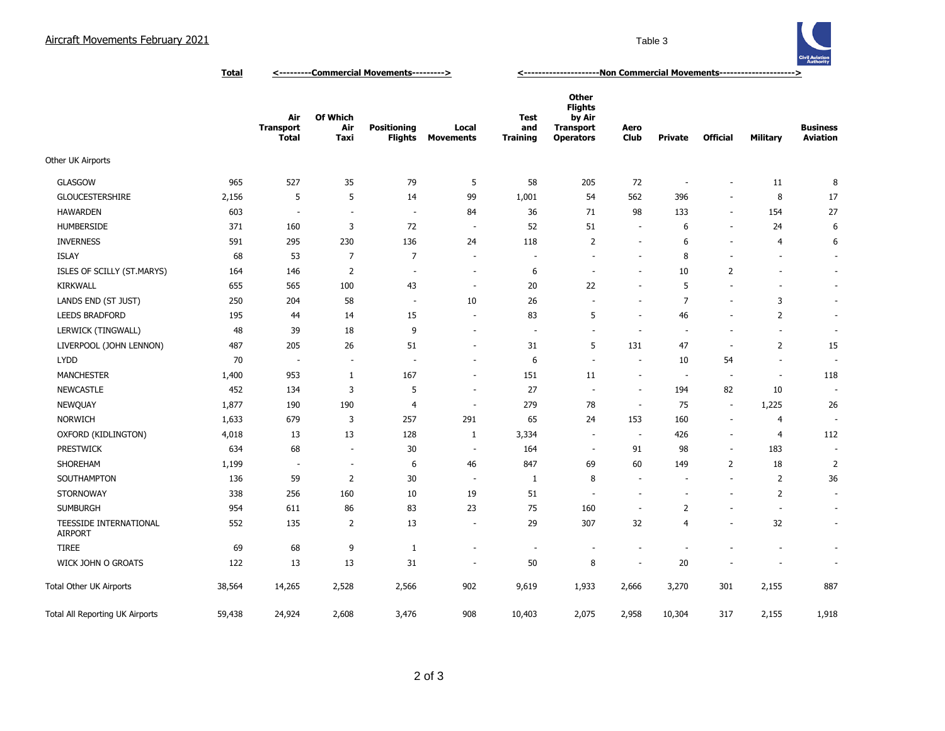

**Total <---------Commercial Movements---------> <---------------------Non Commercial Movements--------------------->**

|                                                 |        | Air<br><b>Transport</b><br><b>Total</b> | <b>Of Which</b><br>Air<br>Taxi | <b>Positioning</b><br><b>Flights</b> | Local<br><b>Movements</b> | <b>Test</b><br>and<br><b>Training</b> | Other<br><b>Flights</b><br>by Air<br><b>Transport</b><br><b>Operators</b> | Aero<br>Club             | Private                  | <b>Official</b>          | <b>Military</b>          | <b>Business</b><br><b>Aviation</b> |
|-------------------------------------------------|--------|-----------------------------------------|--------------------------------|--------------------------------------|---------------------------|---------------------------------------|---------------------------------------------------------------------------|--------------------------|--------------------------|--------------------------|--------------------------|------------------------------------|
| Other UK Airports                               |        |                                         |                                |                                      |                           |                                       |                                                                           |                          |                          |                          |                          |                                    |
| <b>GLASGOW</b>                                  | 965    | 527                                     | 35                             | 79                                   | 5                         | 58                                    | 205                                                                       | 72                       | ÷                        | $\overline{\phantom{a}}$ | 11                       | 8                                  |
| <b>GLOUCESTERSHIRE</b>                          | 2,156  | 5                                       | 5                              | 14                                   | 99                        | 1,001                                 | 54                                                                        | 562                      | 396                      | $\sim$                   | 8                        | 17                                 |
| <b>HAWARDEN</b>                                 | 603    | $\overline{\phantom{a}}$                | $\overline{\phantom{a}}$       | $\overline{\phantom{a}}$             | 84                        | 36                                    | 71                                                                        | 98                       | 133                      | $\overline{\phantom{a}}$ | 154                      | 27                                 |
| <b>HUMBERSIDE</b>                               | 371    | 160                                     | 3                              | 72                                   | $\sim$                    | 52                                    | 51                                                                        |                          | 6                        | ÷,                       | 24                       | 6                                  |
| <b>INVERNESS</b>                                | 591    | 295                                     | 230                            | 136                                  | 24                        | 118                                   | 2                                                                         | $\overline{\phantom{a}}$ | 6                        | $\sim$                   | 4                        | 6                                  |
| <b>ISLAY</b>                                    | 68     | 53                                      | $\overline{7}$                 | 7                                    | $\sim$                    | $\overline{\phantom{a}}$              | $\sim$                                                                    | $\sim$                   | 8                        | $\overline{a}$           | $\overline{\phantom{a}}$ | $\sim$                             |
| ISLES OF SCILLY (ST.MARYS)                      | 164    | 146                                     | $\overline{2}$                 | $\sim$                               | $\sim$                    | 6                                     | $\overline{\phantom{a}}$                                                  |                          | 10                       | $\overline{2}$           |                          | $\sim$                             |
| KIRKWALL                                        | 655    | 565                                     | 100                            | 43                                   | $\sim$                    | 20                                    | 22                                                                        | $\overline{\phantom{a}}$ | 5                        | $\overline{\phantom{a}}$ |                          | $\sim$                             |
| LANDS END (ST JUST)                             | 250    | 204                                     | 58                             | $\overline{\phantom{a}}$             | 10                        | 26                                    | $\overline{\phantom{a}}$                                                  |                          | $\overline{7}$           | ÷,                       | 3                        | $\blacksquare$                     |
| <b>LEEDS BRADFORD</b>                           | 195    | 44                                      | 14                             | 15                                   | $\sim$                    | 83                                    | 5                                                                         | $\overline{\phantom{a}}$ | 46                       | $\overline{a}$           | 2                        | $\sim$                             |
| LERWICK (TINGWALL)                              | 48     | 39                                      | 18                             | 9                                    | $\sim$                    | $\sim$                                | $\sim$                                                                    | $\sim$                   | $\sim$                   | $\overline{\phantom{a}}$ | $\sim$                   | $\overline{\phantom{a}}$           |
| LIVERPOOL (JOHN LENNON)                         | 487    | 205                                     | 26                             | 51                                   | $\sim$                    | 31                                    | 5                                                                         | 131                      | 47                       | ÷.                       | 2                        | 15                                 |
| <b>LYDD</b>                                     | 70     | <b>.</b>                                | $\sim$                         | $\sim$                               | $\sim$                    | 6                                     | ÷                                                                         |                          | 10                       | 54                       | $\sim$                   | ÷                                  |
| <b>MANCHESTER</b>                               | 1,400  | 953                                     | $\mathbf{1}$                   | 167                                  | $\sim$                    | 151                                   | 11                                                                        |                          | $\overline{\phantom{a}}$ | $\sim$                   | $\overline{\phantom{a}}$ | 118                                |
| <b>NEWCASTLE</b>                                | 452    | 134                                     | 3                              | 5                                    | $\overline{\phantom{a}}$  | 27                                    | $\overline{\phantom{a}}$                                                  | $\overline{\phantom{a}}$ | 194                      | 82                       | 10                       | ٠                                  |
| NEWQUAY                                         | 1,877  | 190                                     | 190                            | $\overline{4}$                       | $\overline{\phantom{a}}$  | 279                                   | 78                                                                        | $\overline{\phantom{a}}$ | 75                       | $\overline{\phantom{a}}$ | 1,225                    | 26                                 |
| <b>NORWICH</b>                                  | 1,633  | 679                                     | 3                              | 257                                  | 291                       | 65                                    | 24                                                                        | 153                      | 160                      | $\sim$                   | 4                        | $\sim$                             |
| OXFORD (KIDLINGTON)                             | 4,018  | 13                                      | 13                             | 128                                  | $\mathbf{1}$              | 3,334                                 | $\overline{\phantom{a}}$                                                  | $\overline{\phantom{a}}$ | 426                      | $\overline{a}$           | 4                        | 112                                |
| <b>PRESTWICK</b>                                | 634    | 68                                      | $\sim$                         | 30                                   | $\sim$                    | 164                                   | $\overline{\phantom{a}}$                                                  | 91                       | 98                       | $\overline{\phantom{a}}$ | 183                      | $\sim$                             |
| SHOREHAM                                        | 1,199  | $\overline{a}$                          | $\overline{\phantom{a}}$       | 6                                    | 46                        | 847                                   | 69                                                                        | 60                       | 149                      | $\overline{2}$           | 18                       | $\overline{2}$                     |
| SOUTHAMPTON                                     | 136    | 59                                      | $\overline{2}$                 | 30                                   | $\sim$                    | $\mathbf{1}$                          | 8                                                                         | $\overline{\phantom{a}}$ | $\overline{\phantom{a}}$ | $\overline{\phantom{a}}$ | 2                        | 36                                 |
| <b>STORNOWAY</b>                                | 338    | 256                                     | 160                            | 10                                   | 19                        | 51                                    | ÷.                                                                        |                          | ÷                        | ٠                        | 2                        | $\overline{\phantom{a}}$           |
| <b>SUMBURGH</b>                                 | 954    | 611                                     | 86                             | 83                                   | 23                        | 75                                    | 160                                                                       |                          | $\overline{2}$           | ÷,                       |                          | $\overline{\phantom{a}}$           |
| <b>TEESSIDE INTERNATIONAL</b><br><b>AIRPORT</b> | 552    | 135                                     | 2                              | 13                                   | $\sim$                    | 29                                    | 307                                                                       | 32                       | $\overline{4}$           | ä,                       | 32                       | ÷.                                 |
| <b>TIREE</b>                                    | 69     | 68                                      | 9                              | 1                                    | $\overline{\phantom{a}}$  | $\overline{\phantom{a}}$              | $\overline{\phantom{a}}$                                                  |                          | $\sim$                   |                          |                          | $\overline{\phantom{a}}$           |
| WICK JOHN O GROATS                              | 122    | 13                                      | 13                             | 31                                   | $\overline{\phantom{a}}$  | 50                                    | 8                                                                         | $\overline{\phantom{a}}$ | 20                       |                          |                          | $\overline{\phantom{a}}$           |
| Total Other UK Airports                         | 38,564 | 14,265                                  | 2,528                          | 2,566                                | 902                       | 9,619                                 | 1,933                                                                     | 2,666                    | 3,270                    | 301                      | 2,155                    | 887                                |
| Total All Reporting UK Airports                 | 59,438 | 24,924                                  | 2,608                          | 3,476                                | 908                       | 10,403                                | 2,075                                                                     | 2,958                    | 10,304                   | 317                      | 2,155                    | 1,918                              |